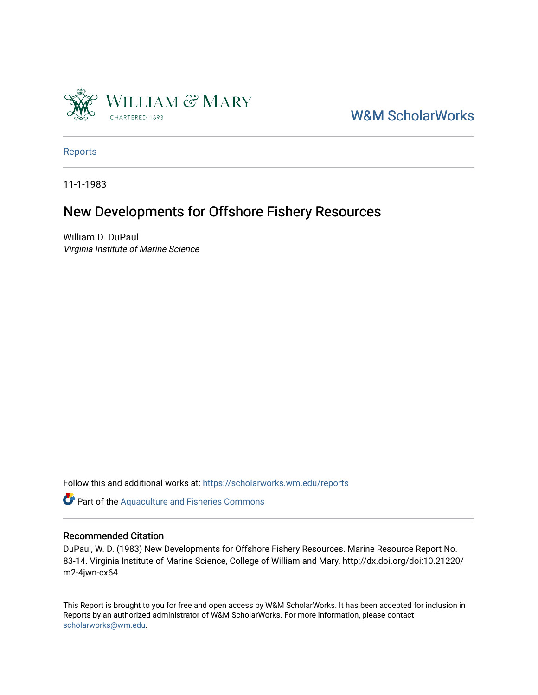

[W&M ScholarWorks](https://scholarworks.wm.edu/) 

[Reports](https://scholarworks.wm.edu/reports)

11-1-1983

# New Developments for Offshore Fishery Resources

William D. DuPaul Virginia Institute of Marine Science

Follow this and additional works at: [https://scholarworks.wm.edu/reports](https://scholarworks.wm.edu/reports?utm_source=scholarworks.wm.edu%2Freports%2F1547&utm_medium=PDF&utm_campaign=PDFCoverPages)

Part of the [Aquaculture and Fisheries Commons](http://network.bepress.com/hgg/discipline/78?utm_source=scholarworks.wm.edu%2Freports%2F1547&utm_medium=PDF&utm_campaign=PDFCoverPages)

# Recommended Citation

DuPaul, W. D. (1983) New Developments for Offshore Fishery Resources. Marine Resource Report No. 83-14. Virginia Institute of Marine Science, College of William and Mary. http://dx.doi.org/doi:10.21220/ m2-4jwn-cx64

This Report is brought to you for free and open access by W&M ScholarWorks. It has been accepted for inclusion in Reports by an authorized administrator of W&M ScholarWorks. For more information, please contact [scholarworks@wm.edu.](mailto:scholarworks@wm.edu)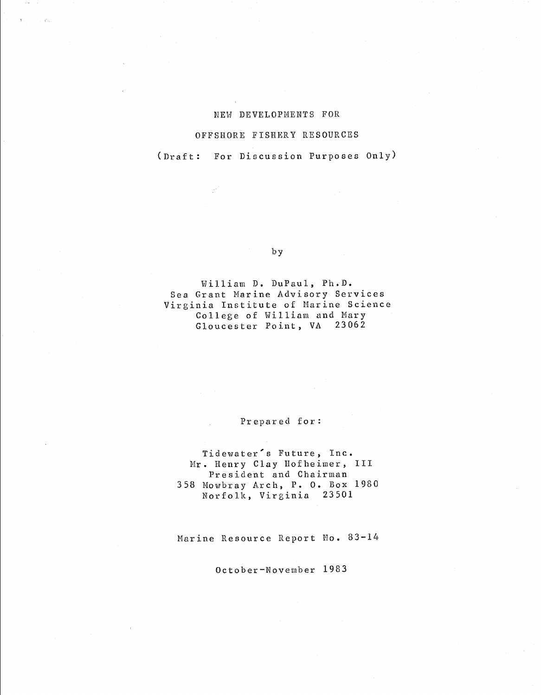#### NEW DEVELOPMENTS FOR

 $\sim 3\%$ 

### OFFSHORE FISHERY RESOURCES

(Draft: For Discussion Purposes Only)

by

William D. DuPaul, Ph.D. Sea Grant Marine Advisory Services Virginia Institute of Marine Science College of William and Mary Gloucester Point, VA 23062

Prepared for:

Tidewater's Future, Inc. Mr. Henry Clay Hofheimer, III President and Chairman 358 Mowbray Arch, P. O. Box 1980 Norfolk, Virginia 23501

Marine Resource Report No. 83-14

October-November 1983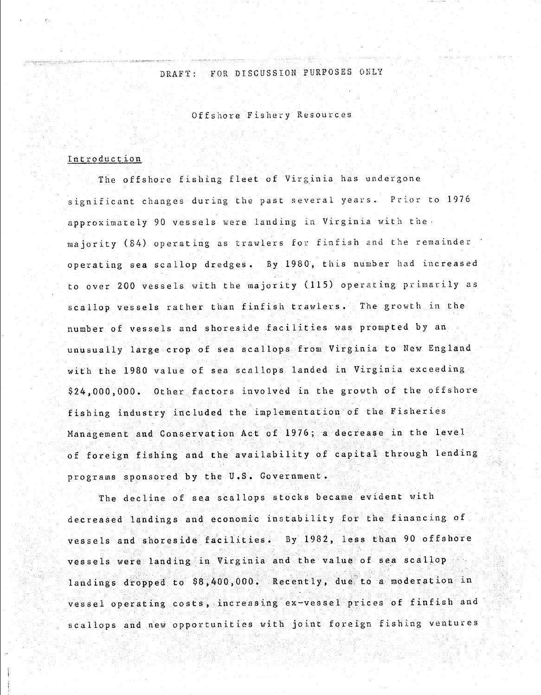# DRAFT: FOR DISCUSSION PURPOSES ONLY

Offshore Fishery Resources

### Introduction

The offshore fishing fleet of Virginia has undergone significant changes during the past several years. Prior to 1976 approximately 90 vessels were landing in Virginia with the, majority (84) operating as trawlers for finfish and the remainder operating sea scallop dredges. By 1980, this number had increased to over 200 vessels with the majority (115) operating primarily as scallop vessels rather than finfish trawlers. The growth in the number of vessels and shoreside facilities was prompted by an unusually large crop of sea scallops from Virginia to New England with the 1980 value of sea scallops landed in Virginia exceeding \$24,000,000. Other factors involved in the growth of the offshore fishing industry included the implementation of the Fisheries Management and Conservation Act of 1976; a decrease in the level of foreign fishing and the availability of capital through lending programs sponsored by the U.S. Government.

The decline of sea scallops stocks became evident with decreased landings and economic instability for the financing of vessels and shoreside facilities. By 1982, less than 90 offshore vessels were landing in Virginia and the value of sea scalJop landings dropped to \$8,400,000. Recently, due to a moderation in vessel operating costs, increasing ex-vessel prices of finfish and scallops and new opportunities with joint foreign fishing ventures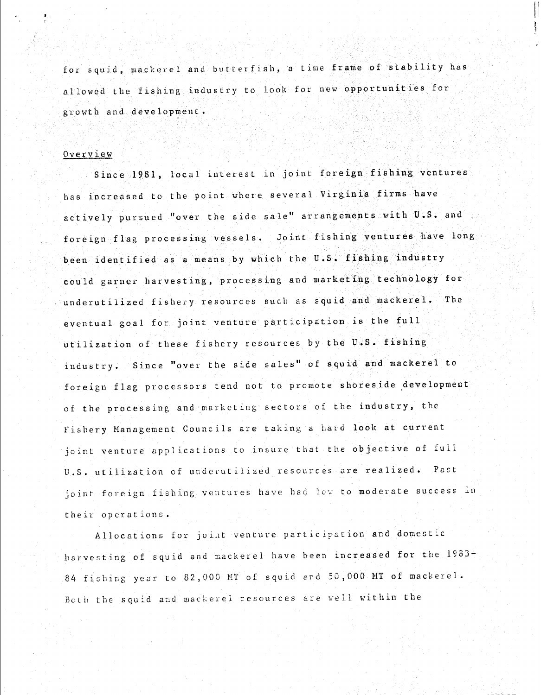for squid, mackerel and butterfish, a time frame of stability has allowed the fishing industry to look for new opportunities for growth and development.

11 I

### Overview

Since 1981, local interest in joint foreign fishing ventures has increased to the point where several Virginia firms have actively pursued "over the side sale" arrangements with U.S. and foreign flag processing vessels. Joint fishing ventures have long been identified as a means by which the U.S. fishing industry could garner harvesting, processing and marketing technology for underutilized fishery resources such as squid and mackerel. The eventual goal for joint venture participation is the full utilization of these fishery resources by the U.S. fishing industry. Since "over the side sales" of squid and mackerel to foreign flag processors tend not to promote shoreside development of the processing and marketing· sectors of the industry, the Fishery Management Councils are taking a hard look at current joint venture applications to insure that the objective of full U.S. utilization of underutilized resources are realized. Past joint foreign fishing ventures have had low to moderate success in their operations.

Allocations for joint venture participation and domestic harvesting of squid and mackerel have been increased for the 1983- 84 fishing year to 82,000 MT of squid and 50,000 MT of mackerel. Both the squid and mackerel resources are well within the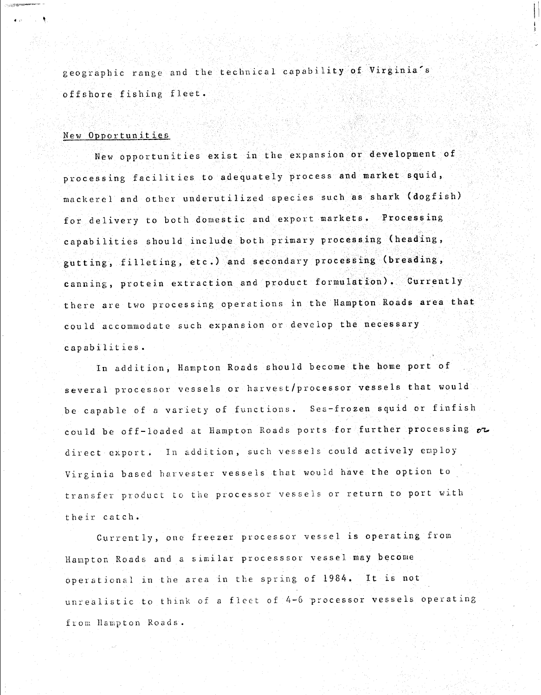geographic range and the technical capability of Virginia's offshore fishing fleet.

• I  $\mathbf{1}$ 

### New Opportunities

 $\mathbf{a}$  ,  $\mathbf{a}$ 

New opportunities exist in the expansion or development of processing facilities to adequately process and market squid, mackerel and other underutilized species such as shatk {dogfish) for delivery to both domestic and export markets. Processing capabilities should include both primary processing (beading,  $g$ utting, filleting, etc.) and secondary processing (breading, canning, protein extraction and product formulation). Currently there are two processing operations in the Hampton Roads area that could accommodate such expansion or develop the necessary capabilities.

In addition, Hampton Roads should become the home port of several processor vessels or harvest/processor vessels that would be capable of a variety of functions. Sea-frozen squid or finfish could be off-loaded at Hampton Roads ports for further processing  $\sigma$ . direct export. In addition, such vessels could actively employ Virginia based harvester vessels that would have the option to transfer product to the processor vessels or return to port with their catch.

Currently, one freezer processor vessel is operating from Hampton Roads and a similar processsor vessel may become operatjonal in the area in the spring of 1984. It is not unrealistic to think of a fleet of 4-6 7rocessor vessels operating from Hampton Roads.